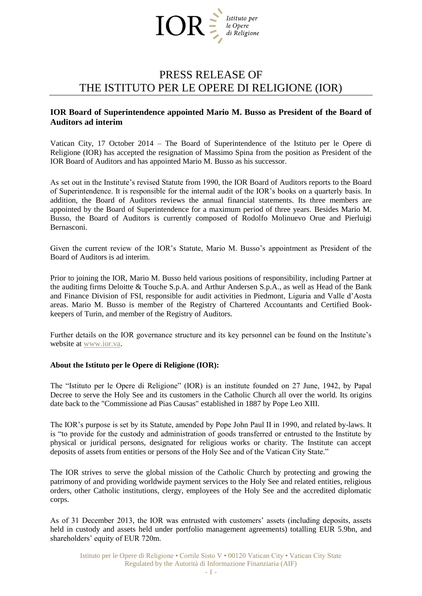

## PRESS RELEASE OF THE ISTITUTO PER LE OPERE DI RELIGIONE (IOR)

## **IOR Board of Superintendence appointed Mario M. Busso as President of the Board of Auditors ad interim**

Vatican City, 17 October 2014 – The Board of Superintendence of the Istituto per le Opere di Religione (IOR) has accepted the resignation of Massimo Spina from the position as President of the IOR Board of Auditors and has appointed Mario M. Busso as his successor.

As set out in the Institute's revised Statute from 1990, the IOR Board of Auditors reports to the Board of Superintendence. It is responsible for the internal audit of the IOR's books on a quarterly basis. In addition, the Board of Auditors reviews the annual financial statements. Its three members are appointed by the Board of Superintendence for a maximum period of three years. Besides Mario M. Busso, the Board of Auditors is currently composed of Rodolfo Molinuevo Orue and Pierluigi Bernasconi.

Given the current review of the IOR's Statute, Mario M. Busso's appointment as President of the Board of Auditors is ad interim.

Prior to joining the IOR, Mario M. Busso held various positions of responsibility, including Partner at the auditing firms Deloitte & Touche S.p.A. and Arthur Andersen S.p.A., as well as Head of the Bank and Finance Division of FSI, responsible for audit activities in Piedmont, Liguria and Valle d'Aosta areas. Mario M. Busso is member of the Registry of Chartered Accountants and Certified Bookkeepers of Turin, and member of the Registry of Auditors.

Further details on the IOR governance structure and its key personnel can be found on the Institute's website at [www.ior.va.](http://www.ior.va/)

## **About the Istituto per le Opere di Religione (IOR):**

The "Istituto per le Opere di Religione" (IOR) is an institute founded on 27 June, 1942, by Papal Decree to serve the Holy See and its customers in the Catholic Church all over the world. Its origins date back to the "Commissione ad Pias Causas" established in 1887 by Pope Leo XIII.

The IOR's purpose is set by its Statute, amended by Pope John Paul II in 1990, and related by-laws. It is "to provide for the custody and administration of goods transferred or entrusted to the Institute by physical or juridical persons, designated for religious works or charity. The Institute can accept deposits of assets from entities or persons of the Holy See and of the Vatican City State."

The IOR strives to serve the global mission of the Catholic Church by protecting and growing the patrimony of and providing worldwide payment services to the Holy See and related entities, religious orders, other Catholic institutions, clergy, employees of the Holy See and the accredited diplomatic corps.

As of 31 December 2013, the IOR was entrusted with customers' assets (including deposits, assets held in custody and assets held under portfolio management agreements) totalling EUR 5.9bn, and shareholders' equity of EUR 720m.